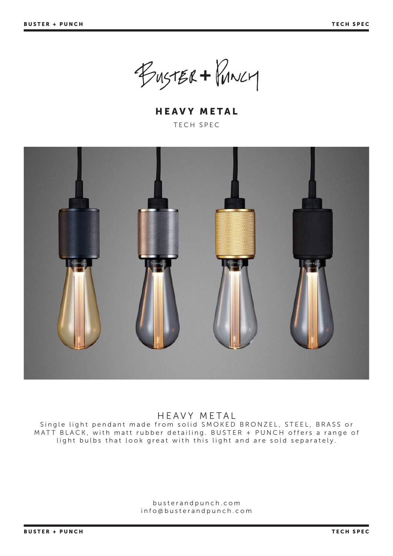BUSTER + PUNCH

HEAVY METAL TECH SPEC



## HEAVY METAL

Single light pendant made from solid SMOKED BRONZEL, STEEL, BRASS or MATT BLACK, with matt rubber detailing. BUSTER + PUNCH offers a range of light bulbs that look great with this light and are sold separately.

> busterandpunch.com info@busterandpunch.com